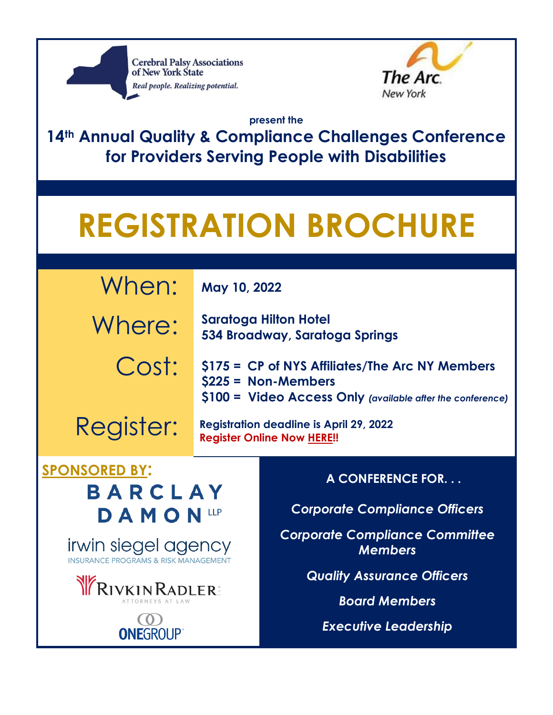



**present the** 

**14th Annual Quality & Compliance Challenges Conference for Providers Serving People with Disabilities**

# **REGISTRATION BROCHURE**

| When:     | May 10, 2022                                                                                                                          |
|-----------|---------------------------------------------------------------------------------------------------------------------------------------|
| Where:    | <b>Saratoga Hilton Hotel</b><br>534 Broadway, Saratoga Springs                                                                        |
| Cost:     | \$175 = CP of NYS Affiliates/The Arc NY Members<br>$$225 = Non-Members$<br>\$100 = Video Access Only (available after the conference) |
| Register: | <b>Registration deadline is April 29, 2022</b><br><b>Register Online Now HERE!!</b>                                                   |

# **SPONSORED BY:**

**BARCLAY DAMON**LLP

**irwin siegel agency**<br>INSURANCE PROGRAMS & RISK MANAGEMENT





**A CONFERENCE FOR. . .**

*Corporate Compliance Officers*

*Corporate Compliance Committee Members*

*Quality Assurance Officers*

*Board Members*

*Executive Leadership*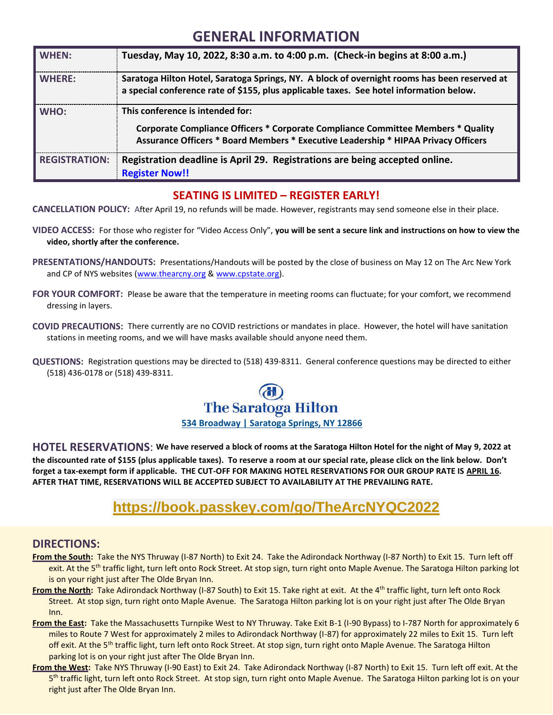### **GENERAL INFORMATION**

| <b>WHEN:</b>         | Tuesday, May 10, 2022, 8:30 a.m. to 4:00 p.m. (Check-in begins at 8:00 a.m.)                                                                                                                                      |
|----------------------|-------------------------------------------------------------------------------------------------------------------------------------------------------------------------------------------------------------------|
| <b>WHERE:</b>        | Saratoga Hilton Hotel, Saratoga Springs, NY. A block of overnight rooms has been reserved at<br>a special conference rate of \$155, plus applicable taxes. See hotel information below.                           |
| WHO:                 | This conference is intended for:<br><b>Corporate Compliance Officers * Corporate Compliance Committee Members * Quality</b><br>Assurance Officers * Board Members * Executive Leadership * HIPAA Privacy Officers |
| <b>REGISTRATION:</b> | Registration deadline is April 29. Registrations are being accepted online.<br><b>Register Now!!</b>                                                                                                              |

#### **SEATING IS LIMITED – REGISTER EARLY!**

**CANCELLATION POLICY:** After April 19, no refunds will be made. However, registrants may send someone else in their place.

- **VIDEO ACCESS:** For those who register for "Video Access Only", **you will be sent a secure link and instructions on how to view the video, shortly after the conference.**
- **PRESENTATIONS/HANDOUTS:** Presentations/Handouts will be posted by the close of business on May 12 on The Arc New York and CP of NYS websites [\(www.thearcny.org](http://www.thearcny.org/) [& www.cpstate.org\)](http://www.cpstate.org/).
- **FOR YOUR COMFORT:** Please be aware that the temperature in meeting rooms can fluctuate; for your comfort, we recommend dressing in layers.
- **COVID PRECAUTIONS:** There currently are no COVID restrictions or mandates in place. However, the hotel will have sanitation stations in meeting rooms, and we will have masks available should anyone need them.
- **QUESTIONS:** Registration questions may be directed to (518) 439-8311. General conference questions may be directed to either (518) 436-0178 or (518) 439-8311.



**HOTEL RESERVATIONS**: **We have reserved a block of rooms at the Saratoga Hilton Hotel for the night of May 9, 2022 at the discounted rate of \$155 (plus applicable taxes). To reserve a room at our special rate, please click on the link below. Don't forget a tax-exempt form if applicable. THE CUT-OFF FOR MAKING HOTEL RESERVATIONS FOR OUR GROUP RATE IS APRIL 16. AFTER THAT TIME, RESERVATIONS WILL BE ACCEPTED SUBJECT TO AVAILABILITY AT THE PREVAILING RATE.**

### **<https://book.passkey.com/go/TheArcNYQC2022>**

#### **DIRECTIONS:**

- **From the South:** Take the NYS Thruway (I-87 North) to Exit 24. Take the Adirondack Northway (I-87 North) to Exit 15. Turn left off exit. At the 5<sup>th</sup> traffic light, turn left onto Rock Street. At stop sign, turn right onto Maple Avenue. The Saratoga Hilton parking lot is on your right just after The Olde Bryan Inn.
- From the North: Take Adirondack Northway (I-87 South) to Exit 15. Take right at exit. At the 4<sup>th</sup> traffic light, turn left onto Rock Street. At stop sign, turn right onto Maple Avenue. The Saratoga Hilton parking lot is on your right just after The Olde Bryan Inn.
- **From the East:** Take the Massachusetts Turnpike West to NY Thruway. Take Exit B-1 (I-90 Bypass) to I-787 North for approximately 6 miles to Route 7 West for approximately 2 miles to Adirondack Northway (I-87) for approximately 22 miles to Exit 15. Turn left off exit. At the 5<sup>th</sup> traffic light, turn left onto Rock Street. At stop sign, turn right onto Maple Avenue. The Saratoga Hilton parking lot is on your right just after The Olde Bryan Inn.
- **From the West:** Take NYS Thruway (I-90 East) to Exit 24. Take Adirondack Northway (I-87 North) to Exit 15. Turn left off exit. At the 5<sup>th</sup> traffic light, turn left onto Rock Street. At stop sign, turn right onto Maple Avenue. The Saratoga Hilton parking lot is on your right just after The Olde Bryan Inn.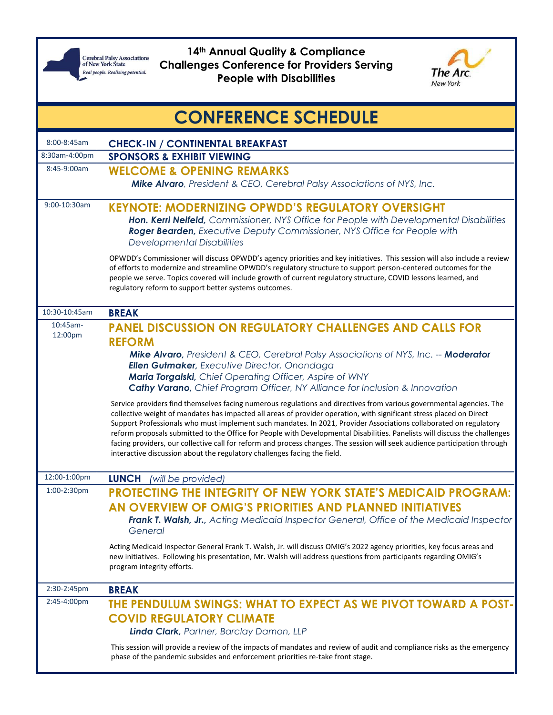

**14th Annual Quality & Compliance Challenges Conference for Providers Serving People with Disabilities**



| <b>CONFERENCE SCHEDULE</b> |                                                                                                                                                                                                                                                                                                                                                                                                                                                                                                                                                                                                                                                                                                           |
|----------------------------|-----------------------------------------------------------------------------------------------------------------------------------------------------------------------------------------------------------------------------------------------------------------------------------------------------------------------------------------------------------------------------------------------------------------------------------------------------------------------------------------------------------------------------------------------------------------------------------------------------------------------------------------------------------------------------------------------------------|
| 8:00-8:45am                | <b>CHECK-IN / CONTINENTAL BREAKFAST</b>                                                                                                                                                                                                                                                                                                                                                                                                                                                                                                                                                                                                                                                                   |
| 8:30am-4:00pm              | <b>SPONSORS &amp; EXHIBIT VIEWING</b>                                                                                                                                                                                                                                                                                                                                                                                                                                                                                                                                                                                                                                                                     |
| 8:45-9:00am                | <b>WELCOME &amp; OPENING REMARKS</b><br>Mike Alvaro, President & CEO, Cerebral Palsy Associations of NYS, Inc.                                                                                                                                                                                                                                                                                                                                                                                                                                                                                                                                                                                            |
| 9:00-10:30am               | <b>KEYNOTE: MODERNIZING OPWDD'S REGULATORY OVERSIGHT</b><br>Hon. Kerri Neifeld, Commissioner, NYS Office for People with Developmental Disabilities<br>Roger Bearden, Executive Deputy Commissioner, NYS Office for People with<br><b>Developmental Disabilities</b>                                                                                                                                                                                                                                                                                                                                                                                                                                      |
|                            | OPWDD's Commissioner will discuss OPWDD's agency priorities and key initiatives. This session will also include a review<br>of efforts to modernize and streamline OPWDD's regulatory structure to support person-centered outcomes for the<br>people we serve. Topics covered will include growth of current regulatory structure, COVID lessons learned, and<br>regulatory reform to support better systems outcomes.                                                                                                                                                                                                                                                                                   |
| 10:30-10:45am              | <b>BREAK</b>                                                                                                                                                                                                                                                                                                                                                                                                                                                                                                                                                                                                                                                                                              |
| $10:45$ am-<br>12:00pm     | <b>PANEL DISCUSSION ON REGULATORY CHALLENGES AND CALLS FOR</b>                                                                                                                                                                                                                                                                                                                                                                                                                                                                                                                                                                                                                                            |
|                            | <b>REFORM</b><br>Mike Alvaro, President & CEO, Cerebral Palsy Associations of NYS, Inc. -- Moderator<br><b>Ellen Gutmaker</b> , Executive Director, Onondaga<br>Maria Torgalski, Chief Operating Officer, Aspire of WNY<br><b>Cathy Varano, Chief Program Officer, NY Alliance for Inclusion &amp; Innovation</b>                                                                                                                                                                                                                                                                                                                                                                                         |
|                            | Service providers find themselves facing numerous regulations and directives from various governmental agencies. The<br>collective weight of mandates has impacted all areas of provider operation, with significant stress placed on Direct<br>Support Professionals who must implement such mandates. In 2021, Provider Associations collaborated on regulatory<br>reform proposals submitted to the Office for People with Developmental Disabilities. Panelists will discuss the challenges<br>facing providers, our collective call for reform and process changes. The session will seek audience participation through<br>interactive discussion about the regulatory challenges facing the field. |
| 12:00-1:00pm               | <b>LUNCH</b><br>(will be provided)                                                                                                                                                                                                                                                                                                                                                                                                                                                                                                                                                                                                                                                                        |
| 1:00-2:30pm                | PROTECTING THE INTEGRITY OF NEW YORK STATE'S MEDICAID PROGRAM:                                                                                                                                                                                                                                                                                                                                                                                                                                                                                                                                                                                                                                            |
|                            | AN OVERVIEW OF OMIG'S PRIORITIES AND PLANNED INITIATIVES<br>Frank T. Walsh, Jr., Acting Medicaid Inspector General, Office of the Medicaid Inspector<br>General                                                                                                                                                                                                                                                                                                                                                                                                                                                                                                                                           |
|                            | Acting Medicaid Inspector General Frank T. Walsh, Jr. will discuss OMIG's 2022 agency priorities, key focus areas and<br>new initiatives. Following his presentation, Mr. Walsh will address questions from participants regarding OMIG's<br>program integrity efforts.                                                                                                                                                                                                                                                                                                                                                                                                                                   |
| 2:30-2:45pm                | <b>BREAK</b>                                                                                                                                                                                                                                                                                                                                                                                                                                                                                                                                                                                                                                                                                              |
| 2:45-4:00pm                | THE PENDULUM SWINGS: WHAT TO EXPECT AS WE PIVOT TOWARD A POST-<br><b>COVID REGULATORY CLIMATE</b><br>Linda Clark, Partner, Barclay Damon, LLP                                                                                                                                                                                                                                                                                                                                                                                                                                                                                                                                                             |
|                            | This session will provide a review of the impacts of mandates and review of audit and compliance risks as the emergency<br>phase of the pandemic subsides and enforcement priorities re-take front stage.                                                                                                                                                                                                                                                                                                                                                                                                                                                                                                 |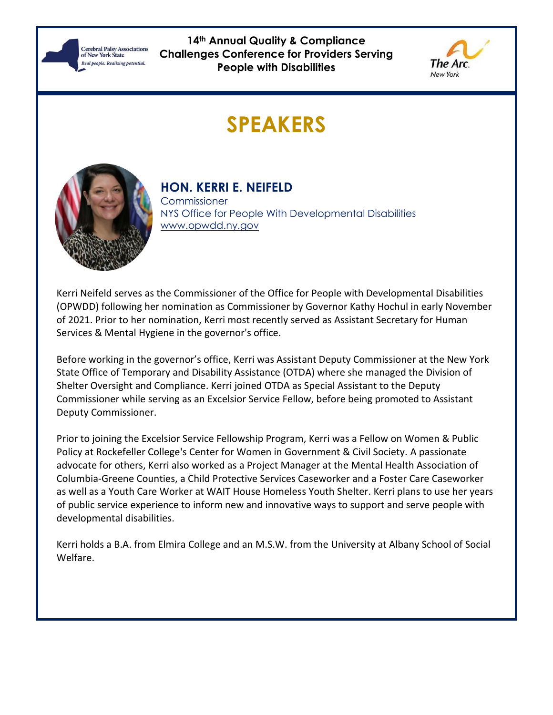

**14th Annual Quality & Compliance Challenges Conference for Providers Serving People with Disabilities**



# **SPEAKERS**



### **HON. KERRI E. NEIFELD**

**Commissioner** NYS Office for People With Developmental Disabilities [www.opwdd.ny.gov](http://www.opwdd.ny.gov/)

Kerri Neifeld serves as the Commissioner of the Office for People with Developmental Disabilities (OPWDD) following her nomination as Commissioner by Governor Kathy Hochul in early November of 2021. Prior to her nomination, Kerri most recently served as Assistant Secretary for Human Services & Mental Hygiene in the governor's office.

Before working in the governor's office, Kerri was Assistant Deputy Commissioner at the New York State Office of Temporary and Disability Assistance (OTDA) where she managed the Division of Shelter Oversight and Compliance. Kerri joined OTDA as Special Assistant to the Deputy Commissioner while serving as an Excelsior Service Fellow, before being promoted to Assistant Deputy Commissioner.

Prior to joining the Excelsior Service Fellowship Program, Kerri was a Fellow on Women & Public Policy at Rockefeller College's Center for Women in Government & Civil Society. A passionate advocate for others, Kerri also worked as a Project Manager at the Mental Health Association of Columbia-Greene Counties, a Child Protective Services Caseworker and a Foster Care Caseworker as well as a Youth Care Worker at WAIT House Homeless Youth Shelter. Kerri plans to use her years of public service experience to inform new and innovative ways to support and serve people with developmental disabilities.

Kerri holds a B.A. from Elmira College and an M.S.W. from the University at Albany School of Social Welfare.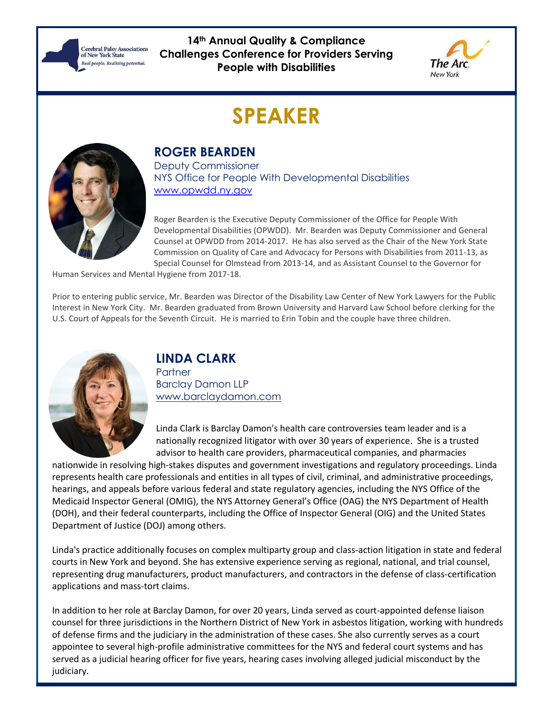**Cerebral Palsy Associations**<br>of New York State Real people, Realizing potential.

**14th Annual Quality & Compliance Challenges Conference for Providers Serving People with Disabilities**



### **SPEAKER**



#### **ROGER BEARDEN**

Deputy Commissioner NYS Office for People With Developmental Disabilities [www.opwdd.ny.gov](http://www.opwdd.ny.gov/)

Roger Bearden is the Executive Deputy Commissioner of the Office for People With Developmental Disabilities (OPWDD). Mr. Bearden was Deputy Commissioner and General Counsel at OPWDD from 2014-2017. He has also served as the Chair of the New York State Commission on Quality of Care and Advocacy for Persons with Disabilities from 2011-13, as Special Counsel for Olmstead from 2013-14, and as Assistant Counsel to the Governor for

Human Services and Mental Hygiene from 2017-18.

Prior to entering public service, Mr. Bearden was Director of the Disability Law Center of New York Lawyers for the Public Interest in New York City. Mr. Bearden graduated from Brown University and Harvard Law School before clerking for the U.S. Court of Appeals for the Seventh Circuit. He is married to Erin Tobin and the couple have three children.



#### **LINDA CLARK**

**Partner** Barclay Damon LLP [www.barclaydamon.com](http://www.barclaydamon.com/) 

Linda Clark is Barclay Damon's health care controversies team leader and is a nationally recognized litigator with over 30 years of experience. She is a trusted advisor to health care providers, pharmaceutical companies, and pharmacies

nationwide in resolving high-stakes disputes and government investigations and regulatory proceedings. Linda represents health care professionals and entities in all types of civil, criminal, and administrative proceedings, hearings, and appeals before various federal and state regulatory agencies, including the NYS Office of the Medicaid Inspector General (OMIG), the NYS Attorney General's Office (OAG) the NYS Department of Health (DOH), and their federal counterparts, including the Office of Inspector General (OIG) and the United States Department of Justice (DOJ) among others.

Linda's practice additionally focuses on complex multiparty group and class-action litigation in state and federal courts in New York and beyond. She has extensive experience serving as regional, national, and trial counsel, representing drug manufacturers, product manufacturers, and contractors in the defense of class-certification applications and mass-tort claims.

In addition to her role at Barclay Damon, for over 20 years, Linda served as court-appointed defense liaison counsel for three jurisdictions in the Northern District of New York in asbestos litigation, working with hundreds of defense firms and the judiciary in the administration of these cases. She also currently serves as a court appointee to several high-profile administrative committees for the NYS and federal court systems and has served as a judicial hearing officer for five years, hearing cases involving alleged judicial misconduct by the judiciary.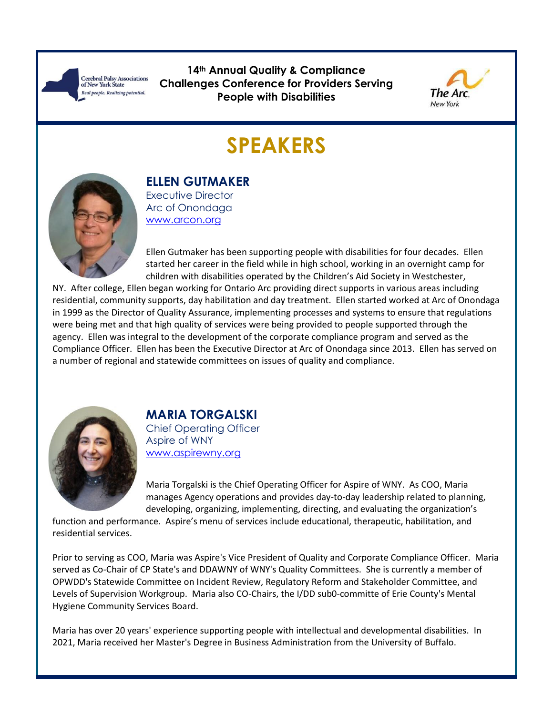**Cerebral Palsy Associations**<br>of New York State Real people. Realizing potential.

**14th Annual Quality & Compliance Challenges Conference for Providers Serving People with Disabilities**



# **SPEAKERS**



**ELLEN GUTMAKER** Executive Director

Arc of Onondaga [www.arcon.org](http://www.arcon.org/)

Ellen Gutmaker has been supporting people with disabilities for four decades. Ellen started her career in the field while in high school, working in an overnight camp for children with disabilities operated by the Children's Aid Society in Westchester,

NY. After college, Ellen began working for Ontario Arc providing direct supports in various areas including residential, community supports, day habilitation and day treatment. Ellen started worked at Arc of Onondaga in 1999 as the Director of Quality Assurance, implementing processes and systems to ensure that regulations were being met and that high quality of services were being provided to people supported through the agency. Ellen was integral to the development of the corporate compliance program and served as the Compliance Officer. Ellen has been the Executive Director at Arc of Onondaga since 2013. Ellen has served on a number of regional and statewide committees on issues of quality and compliance.



### **MARIA TORGALSKI**

Chief Operating Officer Aspire of WNY [www.aspirewny.org](http://www.aspirewny.org/)

Maria Torgalski is the Chief Operating Officer for Aspire of WNY. As COO, Maria manages Agency operations and provides day-to-day leadership related to planning, developing, organizing, implementing, directing, and evaluating the organization's

function and performance. Aspire's menu of services include educational, therapeutic, habilitation, and residential services.

Prior to serving as COO, Maria was Aspire's Vice President of Quality and Corporate Compliance Officer. Maria served as Co-Chair of CP State's and DDAWNY of WNY's Quality Committees. She is currently a member of OPWDD's Statewide Committee on Incident Review, Regulatory Reform and Stakeholder Committee, and Levels of Supervision Workgroup. Maria also CO-Chairs, the I/DD sub0-committe of Erie County's Mental Hygiene Community Services Board.

Maria has over 20 years' experience supporting people with intellectual and developmental disabilities. In 2021, Maria received her Master's Degree in Business Administration from the University of Buffalo.